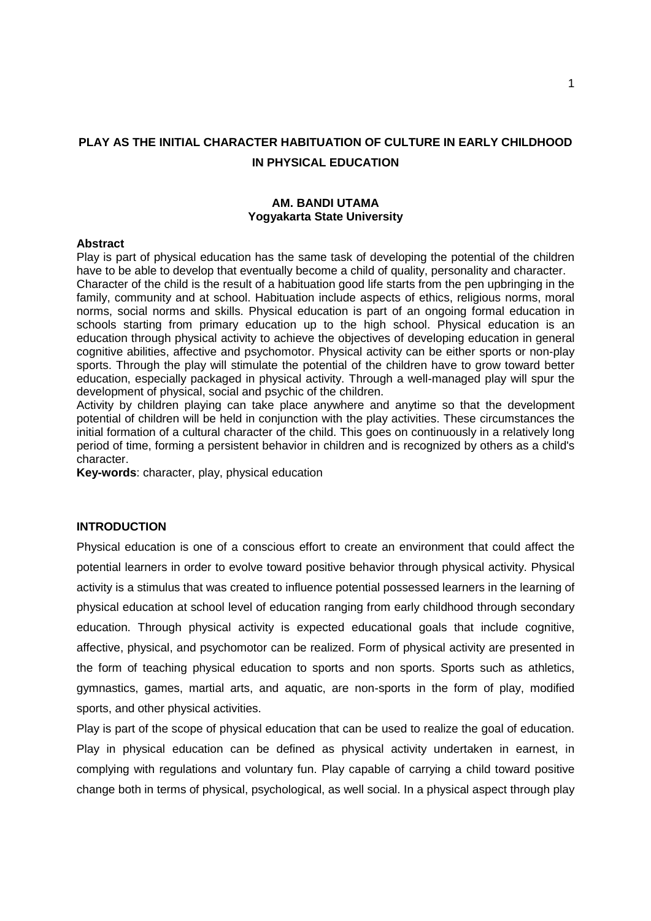# **PLAY AS THE INITIAL CHARACTER HABITUATION OF CULTURE IN EARLY CHILDHOOD IN PHYSICAL EDUCATION**

### **AM. BANDI UTAMA Yogyakarta State University**

#### **Abstract**

Play is part of physical education has the same task of developing the potential of the children have to be able to develop that eventually become a child of quality, personality and character. Character of the child is the result of a habituation good life starts from the pen upbringing in the family, community and at school. Habituation include aspects of ethics, religious norms, moral norms, social norms and skills. Physical education is part of an ongoing formal education in schools starting from primary education up to the high school. Physical education is an education through physical activity to achieve the objectives of developing education in general cognitive abilities, affective and psychomotor. Physical activity can be either sports or non-play sports. Through the play will stimulate the potential of the children have to grow toward better education, especially packaged in physical activity. Through a well-managed play will spur the development of physical, social and psychic of the children.

Activity by children playing can take place anywhere and anytime so that the development potential of children will be held in conjunction with the play activities. These circumstances the initial formation of a cultural character of the child. This goes on continuously in a relatively long period of time, forming a persistent behavior in children and is recognized by others as a child's character.

**Key-words**: character, play, physical education

### **INTRODUCTION**

Physical education is one of a conscious effort to create an environment that could affect the potential learners in order to evolve toward positive behavior through physical activity. Physical activity is a stimulus that was created to influence potential possessed learners in the learning of physical education at school level of education ranging from early childhood through secondary education. Through physical activity is expected educational goals that include cognitive, affective, physical, and psychomotor can be realized. Form of physical activity are presented in the form of teaching physical education to sports and non sports. Sports such as athletics, gymnastics, games, martial arts, and aquatic, are non-sports in the form of play, modified sports, and other physical activities.

Play is part of the scope of physical education that can be used to realize the goal of education. Play in physical education can be defined as physical activity undertaken in earnest, in complying with regulations and voluntary fun. Play capable of carrying a child toward positive change both in terms of physical, psychological, as well social. In a physical aspect through play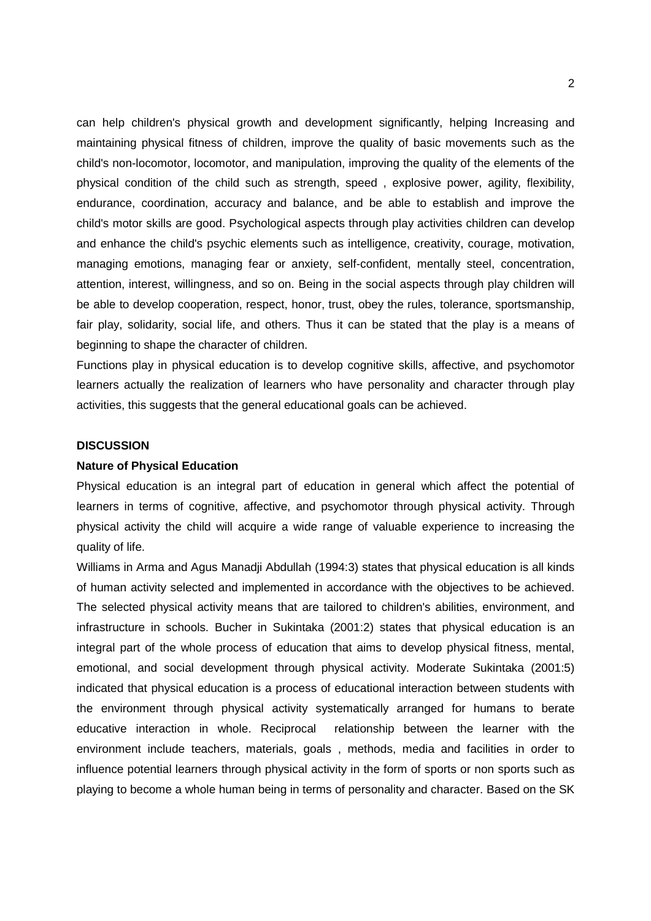can help children's physical growth and development significantly, helping Increasing and maintaining physical fitness of children, improve the quality of basic movements such as the child's non-locomotor, locomotor, and manipulation, improving the quality of the elements of the physical condition of the child such as strength, speed , explosive power, agility, flexibility, endurance, coordination, accuracy and balance, and be able to establish and improve the child's motor skills are good. Psychological aspects through play activities children can develop and enhance the child's psychic elements such as intelligence, creativity, courage, motivation, managing emotions, managing fear or anxiety, self-confident, mentally steel, concentration, attention, interest, willingness, and so on. Being in the social aspects through play children will be able to develop cooperation, respect, honor, trust, obey the rules, tolerance, sportsmanship, fair play, solidarity, social life, and others. Thus it can be stated that the play is a means of beginning to shape the character of children.

Functions play in physical education is to develop cognitive skills, affective, and psychomotor learners actually the realization of learners who have personality and character through play activities, this suggests that the general educational goals can be achieved.

#### **DISCUSSION**

#### **Nature of Physical Education**

Physical education is an integral part of education in general which affect the potential of learners in terms of cognitive, affective, and psychomotor through physical activity. Through physical activity the child will acquire a wide range of valuable experience to increasing the quality of life.

Williams in Arma and Agus Manadji Abdullah (1994:3) states that physical education is all kinds of human activity selected and implemented in accordance with the objectives to be achieved. The selected physical activity means that are tailored to children's abilities, environment, and infrastructure in schools. Bucher in Sukintaka (2001:2) states that physical education is an integral part of the whole process of education that aims to develop physical fitness, mental, emotional, and social development through physical activity. Moderate Sukintaka (2001:5) indicated that physical education is a process of educational interaction between students with the environment through physical activity systematically arranged for humans to berate educative interaction in whole. Reciprocal relationship between the learner with the environment include teachers, materials, goals , methods, media and facilities in order to influence potential learners through physical activity in the form of sports or non sports such as playing to become a whole human being in terms of personality and character. Based on the SK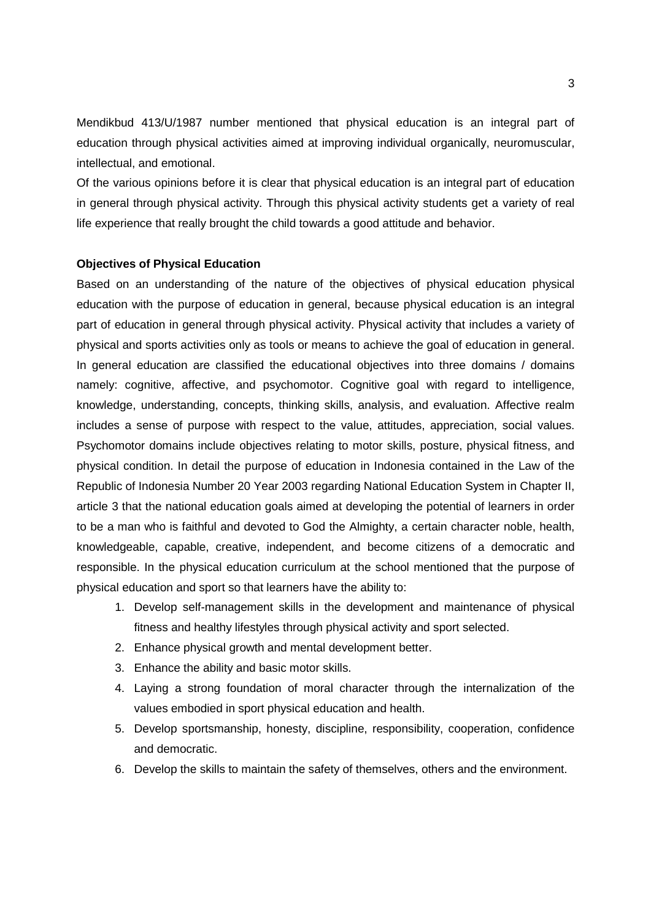Mendikbud 413/U/1987 number mentioned that physical education is an integral part of education through physical activities aimed at improving individual organically, neuromuscular, intellectual, and emotional.

Of the various opinions before it is clear that physical education is an integral part of education in general through physical activity. Through this physical activity students get a variety of real life experience that really brought the child towards a good attitude and behavior.

## **Objectives of Physical Education**

Based on an understanding of the nature of the objectives of physical education physical education with the purpose of education in general, because physical education is an integral part of education in general through physical activity. Physical activity that includes a variety of physical and sports activities only as tools or means to achieve the goal of education in general. In general education are classified the educational objectives into three domains / domains namely: cognitive, affective, and psychomotor. Cognitive goal with regard to intelligence, knowledge, understanding, concepts, thinking skills, analysis, and evaluation. Affective realm includes a sense of purpose with respect to the value, attitudes, appreciation, social values. Psychomotor domains include objectives relating to motor skills, posture, physical fitness, and physical condition. In detail the purpose of education in Indonesia contained in the Law of the Republic of Indonesia Number 20 Year 2003 regarding National Education System in Chapter II, article 3 that the national education goals aimed at developing the potential of learners in order to be a man who is faithful and devoted to God the Almighty, a certain character noble, health, knowledgeable, capable, creative, independent, and become citizens of a democratic and responsible. In the physical education curriculum at the school mentioned that the purpose of physical education and sport so that learners have the ability to:

- 1. Develop self-management skills in the development and maintenance of physical fitness and healthy lifestyles through physical activity and sport selected.
- 2. Enhance physical growth and mental development better.
- 3. Enhance the ability and basic motor skills.
- 4. Laying a strong foundation of moral character through the internalization of the values embodied in sport physical education and health.
- 5. Develop sportsmanship, honesty, discipline, responsibility, cooperation, confidence and democratic.
- 6. Develop the skills to maintain the safety of themselves, others and the environment.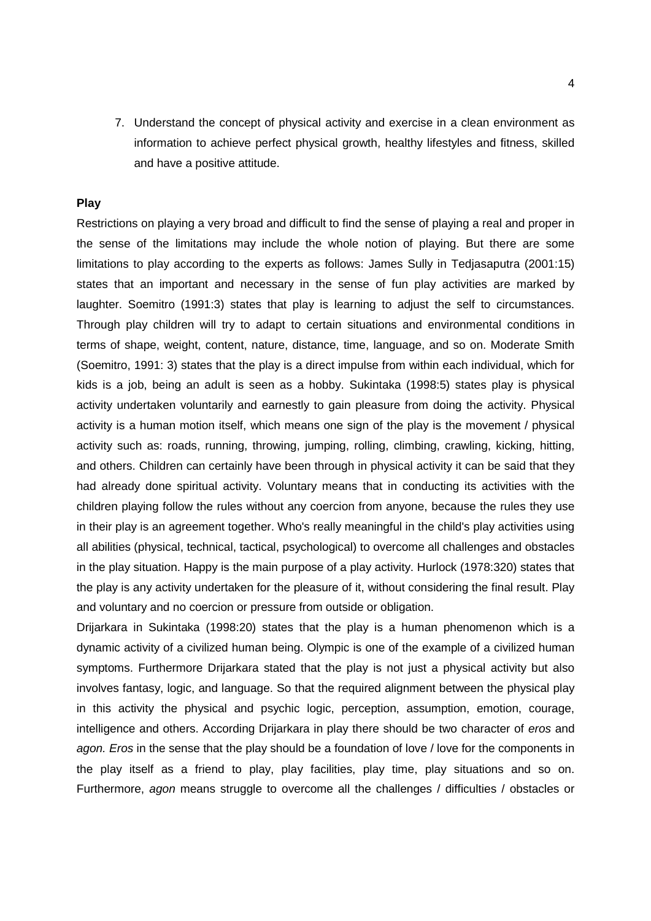7. Understand the concept of physical activity and exercise in a clean environment as information to achieve perfect physical growth, healthy lifestyles and fitness, skilled and have a positive attitude.

## **Play**

Restrictions on playing a very broad and difficult to find the sense of playing a real and proper in the sense of the limitations may include the whole notion of playing. But there are some limitations to play according to the experts as follows: James Sully in Tedjasaputra (2001:15) states that an important and necessary in the sense of fun play activities are marked by laughter. Soemitro (1991:3) states that play is learning to adjust the self to circumstances. Through play children will try to adapt to certain situations and environmental conditions in terms of shape, weight, content, nature, distance, time, language, and so on. Moderate Smith (Soemitro, 1991: 3) states that the play is a direct impulse from within each individual, which for kids is a job, being an adult is seen as a hobby. Sukintaka (1998:5) states play is physical activity undertaken voluntarily and earnestly to gain pleasure from doing the activity. Physical activity is a human motion itself, which means one sign of the play is the movement / physical activity such as: roads, running, throwing, jumping, rolling, climbing, crawling, kicking, hitting, and others. Children can certainly have been through in physical activity it can be said that they had already done spiritual activity. Voluntary means that in conducting its activities with the children playing follow the rules without any coercion from anyone, because the rules they use in their play is an agreement together. Who's really meaningful in the child's play activities using all abilities (physical, technical, tactical, psychological) to overcome all challenges and obstacles in the play situation. Happy is the main purpose of a play activity. Hurlock (1978:320) states that the play is any activity undertaken for the pleasure of it, without considering the final result. Play and voluntary and no coercion or pressure from outside or obligation.

Drijarkara in Sukintaka (1998:20) states that the play is a human phenomenon which is a dynamic activity of a civilized human being. Olympic is one of the example of a civilized human symptoms. Furthermore Drijarkara stated that the play is not just a physical activity but also involves fantasy, logic, and language. So that the required alignment between the physical play in this activity the physical and psychic logic, perception, assumption, emotion, courage, intelligence and others. According Drijarkara in play there should be two character of *eros* and *agon. Eros* in the sense that the play should be a foundation of love / love for the components in the play itself as a friend to play, play facilities, play time, play situations and so on. Furthermore, *agon* means struggle to overcome all the challenges / difficulties / obstacles or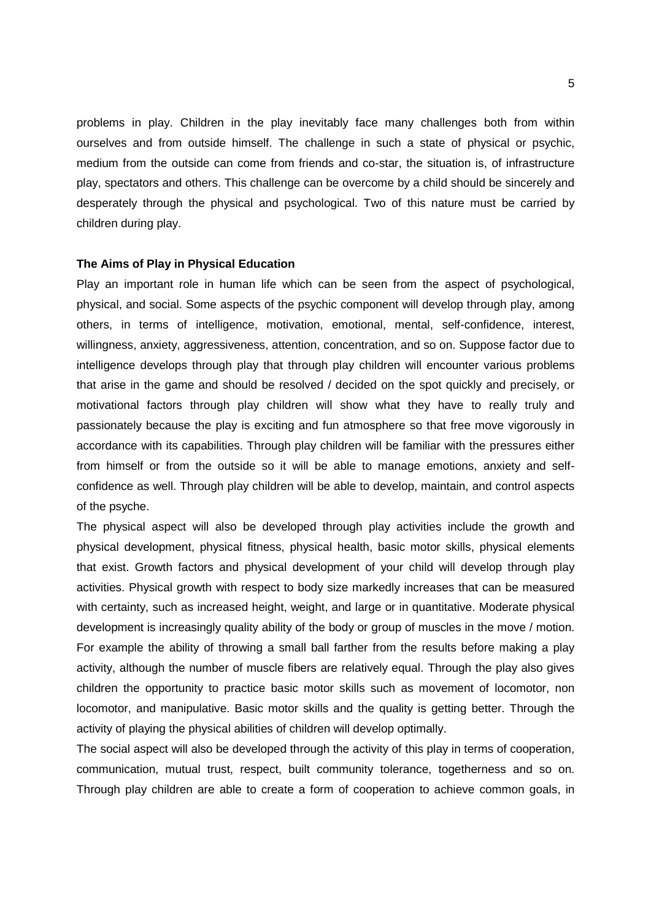problems in play. Children in the play inevitably face many challenges both from within ourselves and from outside himself. The challenge in such a state of physical or psychic, medium from the outside can come from friends and co-star, the situation is, of infrastructure play, spectators and others. This challenge can be overcome by a child should be sincerely and desperately through the physical and psychological. Two of this nature must be carried by children during play.

#### **The Aims of Play in Physical Education**

Play an important role in human life which can be seen from the aspect of psychological, physical, and social. Some aspects of the psychic component will develop through play, among others, in terms of intelligence, motivation, emotional, mental, self-confidence, interest, willingness, anxiety, aggressiveness, attention, concentration, and so on. Suppose factor due to intelligence develops through play that through play children will encounter various problems that arise in the game and should be resolved / decided on the spot quickly and precisely, or motivational factors through play children will show what they have to really truly and passionately because the play is exciting and fun atmosphere so that free move vigorously in accordance with its capabilities. Through play children will be familiar with the pressures either from himself or from the outside so it will be able to manage emotions, anxiety and self confidence as well. Through play children will be able to develop, maintain, and control aspects of the psyche.

The physical aspect will also be developed through play activities include the growth and physical development, physical fitness, physical health, basic motor skills, physical elements that exist. Growth factors and physical development of your child will develop through play activities. Physical growth with respect to body size markedly increases that can be measured with certainty, such as increased height, weight, and large or in quantitative. Moderate physical development is increasingly quality ability of the body or group of muscles in the move / motion. For example the ability of throwing a small ball farther from the results before making a play activity, although the number of muscle fibers are relatively equal. Through the play also gives children the opportunity to practice basic motor skills such as movement of locomotor, non locomotor, and manipulative. Basic motor skills and the quality is getting better. Through the activity of playing the physical abilities of children will develop optimally.

The social aspect will also be developed through the activity of this play in terms of cooperation, communication, mutual trust, respect, built community tolerance, togetherness and so on. Through play children are able to create a form of cooperation to achieve common goals, in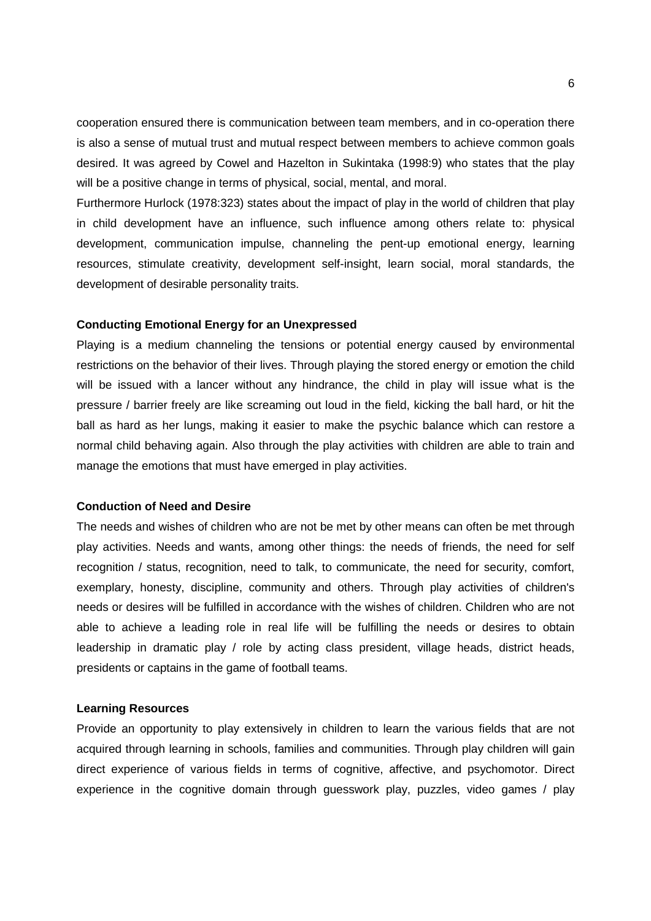cooperation ensured there is communication between team members, and in co-operation there is also a sense of mutual trust and mutual respect between members to achieve common goals desired. It was agreed by Cowel and Hazelton in Sukintaka (1998:9) who states that the play will be a positive change in terms of physical, social, mental, and moral.

Furthermore Hurlock (1978:323) states about the impact of play in the world of children that play in child development have an influence, such influence among others relate to: physical development, communication impulse, channeling the pent-up emotional energy, learning resources, stimulate creativity, development self-insight, learn social, moral standards, the development of desirable personality traits.

#### **Conducting Emotional Energy for an Unexpressed**

Playing is a medium channeling the tensions or potential energy caused by environmental restrictions on the behavior of their lives. Through playing the stored energy or emotion the child will be issued with a lancer without any hindrance, the child in play will issue what is the pressure / barrier freely are like screaming out loud in the field, kicking the ball hard, or hit the ball as hard as her lungs, making it easier to make the psychic balance which can restore a normal child behaving again. Also through the play activities with children are able to train and manage the emotions that must have emerged in play activities.

#### **Conduction of Need and Desire**

The needs and wishes of children who are not be met by other means can often be met through play activities. Needs and wants, among other things: the needs of friends, the need for self recognition / status, recognition, need to talk, to communicate, the need for security, comfort, exemplary, honesty, discipline, community and others. Through play activities of children's needs or desires will be fulfilled in accordance with the wishes of children. Children who are not able to achieve a leading role in real life will be fulfilling the needs or desires to obtain leadership in dramatic play / role by acting class president, village heads, district heads, presidents or captains in the game of football teams.

#### **Learning Resources**

Provide an opportunity to play extensively in children to learn the various fields that are not acquired through learning in schools, families and communities. Through play children will gain direct experience of various fields in terms of cognitive, affective, and psychomotor. Direct experience in the cognitive domain through guesswork play, puzzles, video games / play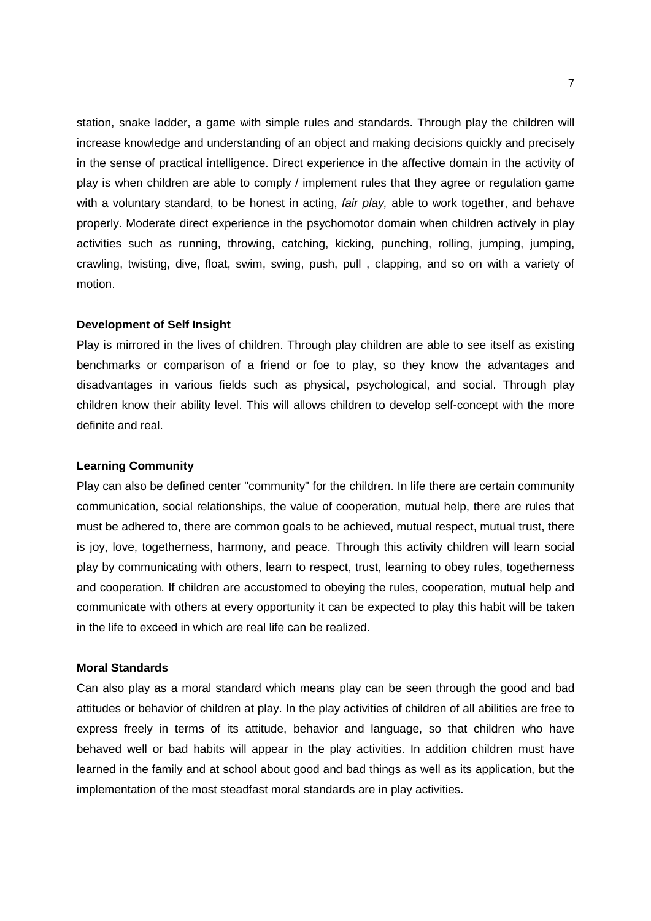station, snake ladder, a game with simple rules and standards. Through play the children will increase knowledge and understanding of an object and making decisions quickly and precisely in the sense of practical intelligence. Direct experience in the affective domain in the activity of play is when children are able to comply / implement rules that they agree or regulation game with a voluntary standard, to be honest in acting, *fair play,* able to work together, and behave properly. Moderate direct experience in the psychomotor domain when children actively in play activities such as running, throwing, catching, kicking, punching, rolling, jumping, jumping, crawling, twisting, dive, float, swim, swing, push, pull , clapping, and so on with a variety of motion.

#### **Development of Self Insight**

Play is mirrored in the lives of children. Through play children are able to see itself as existing benchmarks or comparison of a friend or foe to play, so they know the advantages and disadvantages in various fields such as physical, psychological, and social. Through play children know their ability level. This will allows children to develop self-concept with the more definite and real.

#### **Learning Community**

Play can also be defined center "community" for the children. In life there are certain community communication, social relationships, the value of cooperation, mutual help, there are rules that must be adhered to, there are common goals to be achieved, mutual respect, mutual trust, there is joy, love, togetherness, harmony, and peace. Through this activity children will learn social play by communicating with others, learn to respect, trust, learning to obey rules, togetherness and cooperation. If children are accustomed to obeying the rules, cooperation, mutual help and communicate with others at every opportunity it can be expected to play this habit will be taken in the life to exceed in which are real life can be realized.

#### **Moral Standards**

Can also play as a moral standard which means play can be seen through the good and bad attitudes or behavior of children at play. In the play activities of children of all abilities are free to express freely in terms of its attitude, behavior and language, so that children who have behaved well or bad habits will appear in the play activities. In addition children must have learned in the family and at school about good and bad things as well as its application, but the implementation of the most steadfast moral standards are in play activities.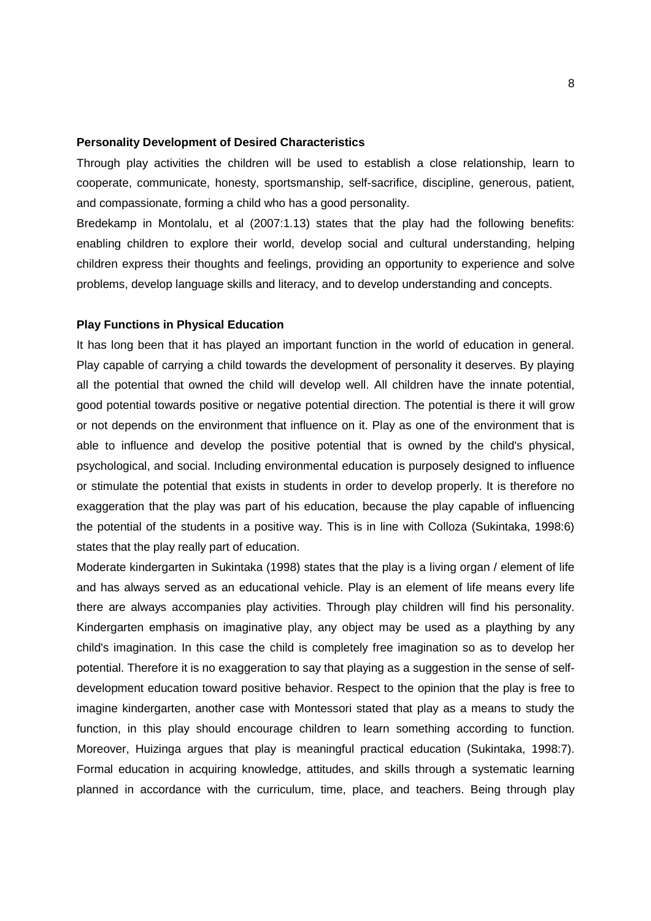#### **Personality Development of Desired Characteristics**

Through play activities the children will be used to establish a close relationship, learn to cooperate, communicate, honesty, sportsmanship, self-sacrifice, discipline, generous, patient, and compassionate, forming a child who has a good personality.

Bredekamp in Montolalu, et al (2007:1.13) states that the play had the following benefits: enabling children to explore their world, develop social and cultural understanding, helping children express their thoughts and feelings, providing an opportunity to experience and solve problems, develop language skills and literacy, and to develop understanding and concepts.

#### **Play Functions in Physical Education**

It has long been that it has played an important function in the world of education in general. Play capable of carrying a child towards the development of personality it deserves. By playing all the potential that owned the child will develop well. All children have the innate potential, good potential towards positive or negative potential direction. The potential is there it will grow or not depends on the environment that influence on it. Play as one of the environment that is able to influence and develop the positive potential that is owned by the child's physical, psychological, and social. Including environmental education is purposely designed to influence or stimulate the potential that exists in students in order to develop properly. It is therefore no exaggeration that the play was part of his education, because the play capable of influencing the potential of the students in a positive way. This is in line with Colloza (Sukintaka, 1998:6) states that the play really part of education.

Moderate kindergarten in Sukintaka (1998) states that the play is a living organ / element of life and has always served as an educational vehicle. Play is an element of life means every life there are always accompanies play activities. Through play children will find his personality. Kindergarten emphasis on imaginative play, any object may be used as a plaything by any child's imagination. In this case the child is completely free imagination so as to develop her potential. Therefore it is no exaggeration to say that playing as a suggestion in the sense of self development education toward positive behavior. Respect to the opinion that the play is free to imagine kindergarten, another case with Montessori stated that play as a means to study the function, in this play should encourage children to learn something according to function. Moreover, Huizinga argues that play is meaningful practical education (Sukintaka, 1998:7). Formal education in acquiring knowledge, attitudes, and skills through a systematic learning planned in accordance with the curriculum, time, place, and teachers. Being through play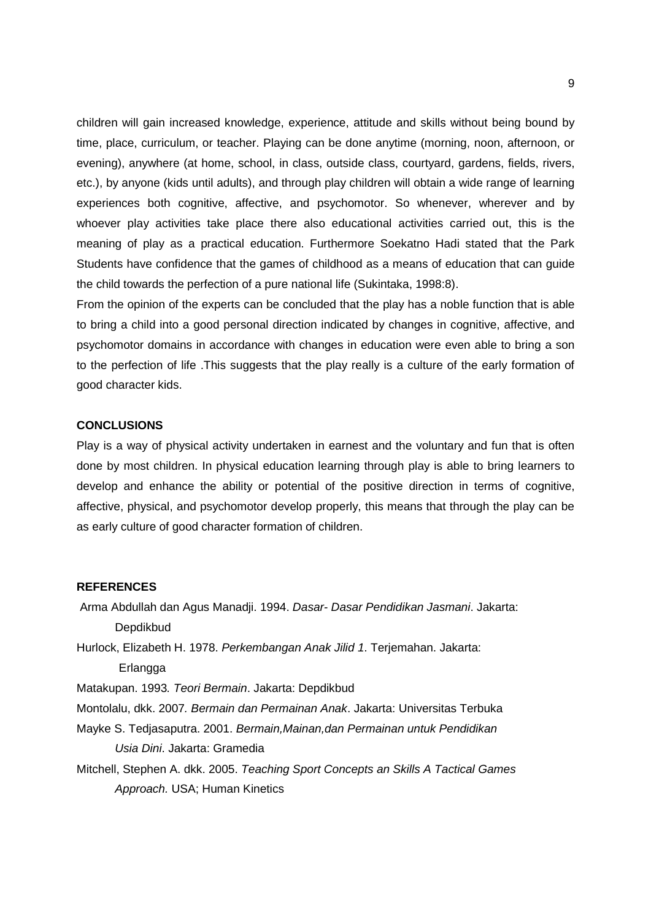children will gain increased knowledge, experience, attitude and skills without being bound by time, place, curriculum, or teacher. Playing can be done anytime (morning, noon, afternoon, or evening), anywhere (at home, school, in class, outside class, courtyard, gardens, fields, rivers, etc.), by anyone (kids until adults), and through play children will obtain a wide range of learning experiences both cognitive, affective, and psychomotor. So whenever, wherever and by whoever play activities take place there also educational activities carried out, this is the meaning of play as a practical education. Furthermore Soekatno Hadi stated that the Park Students have confidence that the games of childhood as a means of education that can guide the child towards the perfection of a pure national life (Sukintaka, 1998:8).

From the opinion of the experts can be concluded that the play has a noble function that is able to bring a child into a good personal direction indicated by changes in cognitive, affective, and psychomotor domains in accordance with changes in education were even able to bring a son to the perfection of life .This suggests that the play really is a culture of the early formation of good character kids.

### **CONCLUSIONS**

Play is a way of physical activity undertaken in earnest and the voluntary and fun that is often done by most children. In physical education learning through play is able to bring learners to develop and enhance the ability or potential of the positive direction in terms of cognitive, affective, physical, and psychomotor develop properly, this means that through the play can be as early culture of good character formation of children.

### **REFERENCES**

Arma Abdullah dan Agus Manadji. 1994. *Dasar- Dasar Pendidikan Jasmani*. Jakarta: Depdikbud Hurlock, Elizabeth H. 1978. *Perkembangan Anak Jilid 1*. Terjemahan. Jakarta:

Erlangga

Matakupan. 1993*. Teori Bermain*. Jakarta: Depdikbud

- Montolalu, dkk. 2007*. Bermain dan Permainan Anak*. Jakarta: Universitas Terbuka
- Mayke S. Tedjasaputra. 2001. *Bermain,Mainan,dan Permainan untuk Pendidikan Usia Dini*. Jakarta: Gramedia
- Mitchell, Stephen A. dkk. 2005. *Teaching Sport Concepts an Skills A Tactical Games Approach.* USA; Human Kinetics